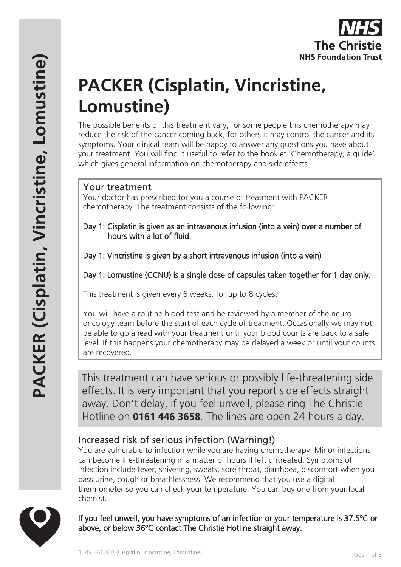

# **PACKER (Cisplatin, Vincristine, Lomustine)**

The possible benefits of this treatment vary; for some people this chemotherapy may reduce the risk of the cancer coming back, for others it may control the cancer and its symptoms. Your clinical team will be happy to answer any questions you have about your treatment. You will find it useful to refer to the booklet 'Chemotherapy, a guide' which gives general information on chemotherapy and side effects.

# Your treatment

Your doctor has prescribed for you a course of treatment with PACKER chemotherapy. The treatment consists of the following:

- Day 1: Cisplatin is given as an intravenous infusion (into a vein) over a number of hours with a lot of fluid.
- Day 1: Vincristine is given by a short intravenous infusion (into a vein)

Day 1: Lomustine (CCNU) is a single dose of capsules taken together for 1 day only.

This treatment is given every 6 weeks, for up to 8 cycles.

You will have a routine blood test and be reviewed by a member of the neurooncology team before the start of each cycle of treatment. Occasionally we may not be able to go ahead with your treatment until your blood counts are back to a safe level. If this happens your chemotherapy may be delayed a week or until your counts are recovered.

This treatment can have serious or possibly life-threatening side effects. It is very important that you report side effects straight away. Don't delay, if you feel unwell, please ring The Christie Hotline on **0161 446 3658**. The lines are open 24 hours a day.

# Increased risk of serious infection (Warning!)

You are vulnerable to infection while you are having chemotherapy. Minor infections can become life-threatening in a matter of hours if left untreated. Symptoms of infection include fever, shivering, sweats, sore throat, diarrhoea, discomfort when you pass urine, cough or breathlessness. We recommend that you use a digital thermometer so you can check your temperature. You can buy one from your local chemist.



If you feel unwell, you have symptoms of an infection or your temperature is 37.5ºC or above, or below 36ºC contact The Christie Hotline straight away.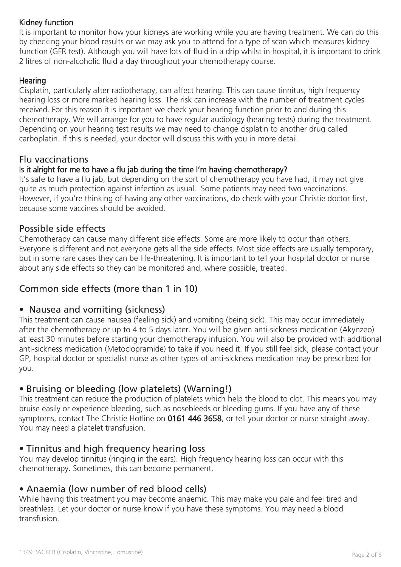#### Kidney function

It is important to monitor how your kidneys are working while you are having treatment. We can do this by checking your blood results or we may ask you to attend for a type of scan which measures kidney function (GFR test). Although you will have lots of fluid in a drip whilst in hospital, it is important to drink 2 litres of non-alcoholic fluid a day throughout your chemotherapy course.

#### **Hearing**

Cisplatin, particularly after radiotherapy, can affect hearing. This can cause tinnitus, high frequency hearing loss or more marked hearing loss. The risk can increase with the number of treatment cycles received. For this reason it is important we check your hearing function prior to and during this chemotherapy. We will arrange for you to have regular audiology (hearing tests) during the treatment. Depending on your hearing test results we may need to change cisplatin to another drug called carboplatin. If this is needed, your doctor will discuss this with you in more detail.

## Flu vaccinations

#### Is it alright for me to have a flu jab during the time I'm having chemotherapy?

It's safe to have a flu jab, but depending on the sort of chemotherapy you have had, it may not give quite as much protection against infection as usual. Some patients may need two vaccinations. However, if you're thinking of having any other vaccinations, do check with your Christie doctor first, because some vaccines should be avoided.

## Possible side effects

Chemotherapy can cause many different side effects. Some are more likely to occur than others. Everyone is different and not everyone gets all the side effects. Most side effects are usually temporary, but in some rare cases they can be life-threatening. It is important to tell your hospital doctor or nurse about any side effects so they can be monitored and, where possible, treated.

# Common side effects (more than 1 in 10)

## • Nausea and vomiting (sickness)

This treatment can cause nausea (feeling sick) and vomiting (being sick). This may occur immediately after the chemotherapy or up to 4 to 5 days later. You will be given anti-sickness medication (Akynzeo) at least 30 minutes before starting your chemotherapy infusion. You will also be provided with additional anti-sickness medication (Metoclopramide) to take if you need it. If you still feel sick, please contact your GP, hospital doctor or specialist nurse as other types of anti-sickness medication may be prescribed for you.

## • Bruising or bleeding (low platelets) (Warning!)

This treatment can reduce the production of platelets which help the blood to clot. This means you may bruise easily or experience bleeding, such as nosebleeds or bleeding gums. If you have any of these symptoms, contact The Christie Hotline on 0161 446 3658, or tell your doctor or nurse straight away. You may need a platelet transfusion.

## • Tinnitus and high frequency hearing loss

You may develop tinnitus (ringing in the ears). High frequency hearing loss can occur with this chemotherapy. Sometimes, this can become permanent.

# • Anaemia (low number of red blood cells)

While having this treatment you may become anaemic. This may make you pale and feel tired and breathless. Let your doctor or nurse know if you have these symptoms. You may need a blood transfusion.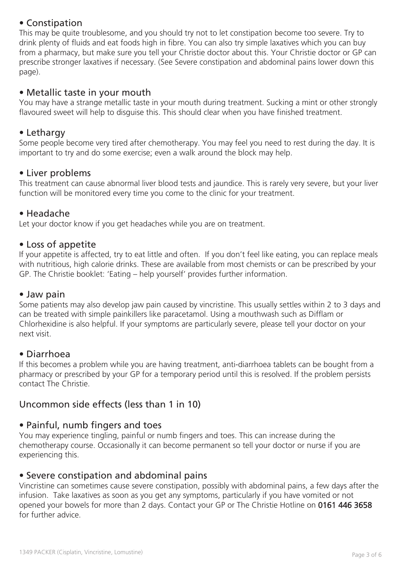# • Constipation

This may be quite troublesome, and you should try not to let constipation become too severe. Try to drink plenty of fluids and eat foods high in fibre. You can also try simple laxatives which you can buy from a pharmacy, but make sure you tell your Christie doctor about this. Your Christie doctor or GP can prescribe stronger laxatives if necessary. (See Severe constipation and abdominal pains lower down this page).

## • Metallic taste in your mouth

You may have a strange metallic taste in your mouth during treatment. Sucking a mint or other strongly flavoured sweet will help to disguise this. This should clear when you have finished treatment.

#### • Lethargy

Some people become very tired after chemotherapy. You may feel you need to rest during the day. It is important to try and do some exercise; even a walk around the block may help.

## • Liver problems

This treatment can cause abnormal liver blood tests and jaundice. This is rarely very severe, but your liver function will be monitored every time you come to the clinic for your treatment.

#### • Headache

Let your doctor know if you get headaches while you are on treatment.

#### • Loss of appetite

If your appetite is affected, try to eat little and often. If you don't feel like eating, you can replace meals with nutritious, high calorie drinks. These are available from most chemists or can be prescribed by your GP. The Christie booklet: 'Eating – help yourself' provides further information.

#### • Jaw pain

Some patients may also develop jaw pain caused by vincristine. This usually settles within 2 to 3 days and can be treated with simple painkillers like paracetamol. Using a mouthwash such as Difflam or Chlorhexidine is also helpful. If your symptoms are particularly severe, please tell your doctor on your next visit.

## • Diarrhoea

If this becomes a problem while you are having treatment, anti-diarrhoea tablets can be bought from a pharmacy or prescribed by your GP for a temporary period until this is resolved. If the problem persists contact The Christie.

# Uncommon side effects (less than 1 in 10)

## • Painful, numb fingers and toes

You may experience tingling, painful or numb fingers and toes. This can increase during the chemotherapy course. Occasionally it can become permanent so tell your doctor or nurse if you are experiencing this.

#### • Severe constipation and abdominal pains

Vincristine can sometimes cause severe constipation, possibly with abdominal pains, a few days after the infusion. Take laxatives as soon as you get any symptoms, particularly if you have vomited or not opened your bowels for more than 2 days. Contact your GP or The Christie Hotline on 0161 446 3658 for further advice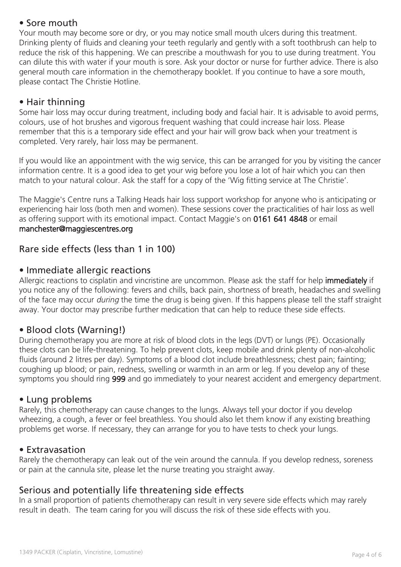# • Sore mouth

Your mouth may become sore or dry, or you may notice small mouth ulcers during this treatment. Drinking plenty of fluids and cleaning your teeth regularly and gently with a soft toothbrush can help to reduce the risk of this happening. We can prescribe a mouthwash for you to use during treatment. You can dilute this with water if your mouth is sore. Ask your doctor or nurse for further advice. There is also general mouth care information in the chemotherapy booklet. If you continue to have a sore mouth, please contact The Christie Hotline.

# • Hair thinning

Some hair loss may occur during treatment, including body and facial hair. It is advisable to avoid perms, colours, use of hot brushes and vigorous frequent washing that could increase hair loss. Please remember that this is a temporary side effect and your hair will grow back when your treatment is completed. Very rarely, hair loss may be permanent.

If you would like an appointment with the wig service, this can be arranged for you by visiting the cancer information centre. It is a good idea to get your wig before you lose a lot of hair which you can then match to your natural colour. Ask the staff for a copy of the 'Wig fitting service at The Christie'.

The Maggie's Centre runs a Talking Heads hair loss support workshop for anyone who is anticipating or experiencing hair loss (both men and women). These sessions cover the practicalities of hair loss as well as offering support with its emotional impact. Contact Maggie's on 0161 641 4848 or email manchester@maggiescentres.org

# Rare side effects (less than 1 in 100)

## • Immediate allergic reactions

Allergic reactions to cisplatin and vincristine are uncommon. Please ask the staff for help immediately if you notice any of the following: fevers and chills, back pain, shortness of breath, headaches and swelling of the face may occur *during* the time the drug is being given. If this happens please tell the staff straight away. Your doctor may prescribe further medication that can help to reduce these side effects.

## • Blood clots (Warning!)

During chemotherapy you are more at risk of blood clots in the legs (DVT) or lungs (PE). Occasionally these clots can be life-threatening. To help prevent clots, keep mobile and drink plenty of non-alcoholic fluids (around 2 litres per day). Symptoms of a blood clot include breathlessness; chest pain; fainting; coughing up blood; or pain, redness, swelling or warmth in an arm or leg. If you develop any of these symptoms you should ring 999 and go immediately to your nearest accident and emergency department.

#### • Lung problems

Rarely, this chemotherapy can cause changes to the lungs. Always tell your doctor if you develop wheezing, a cough, a fever or feel breathless. You should also let them know if any existing breathing problems get worse. If necessary, they can arrange for you to have tests to check your lungs.

#### • Extravasation

Rarely the chemotherapy can leak out of the vein around the cannula. If you develop redness, soreness or pain at the cannula site, please let the nurse treating you straight away.

## Serious and potentially life threatening side effects

In a small proportion of patients chemotherapy can result in very severe side effects which may rarely result in death. The team caring for you will discuss the risk of these side effects with you.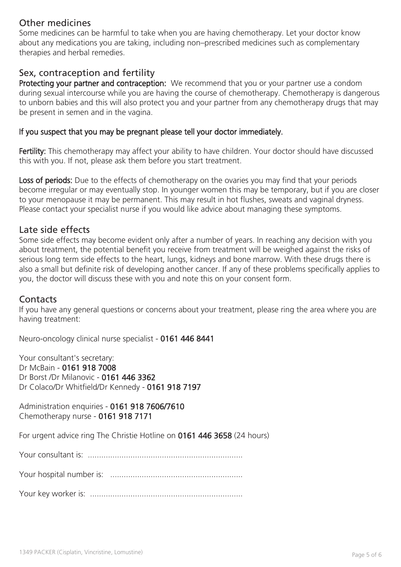## Other medicines

Some medicines can be harmful to take when you are having chemotherapy. Let your doctor know about any medications you are taking, including non–prescribed medicines such as complementary therapies and herbal remedies.

## Sex, contraception and fertility

Protecting your partner and contraception: We recommend that you or your partner use a condom during sexual intercourse while you are having the course of chemotherapy. Chemotherapy is dangerous to unborn babies and this will also protect you and your partner from any chemotherapy drugs that may be present in semen and in the vagina.

#### If you suspect that you may be pregnant please tell your doctor immediately.

Fertility: This chemotherapy may affect your ability to have children. Your doctor should have discussed this with you. If not, please ask them before you start treatment.

Loss of periods: Due to the effects of chemotherapy on the ovaries you may find that your periods become irregular or may eventually stop. In younger women this may be temporary, but if you are closer to your menopause it may be permanent. This may result in hot flushes, sweats and vaginal dryness. Please contact your specialist nurse if you would like advice about managing these symptoms.

#### Late side effects

Some side effects may become evident only after a number of years. In reaching any decision with you about treatment, the potential benefit you receive from treatment will be weighed against the risks of serious long term side effects to the heart, lungs, kidneys and bone marrow. With these drugs there is also a small but definite risk of developing another cancer. If any of these problems specifically applies to you, the doctor will discuss these with you and note this on your consent form.

## **Contacts**

If you have any general questions or concerns about your treatment, please ring the area where you are having treatment:

Neuro-oncology clinical nurse specialist - 0161 446 8441

Your consultant's secretary: Dr McBain - 0161 918 7008 Dr Borst /Dr Milanovic - 0161 446 3362 Dr Colaco/Dr Whitfield/Dr Kennedy - 0161 918 7197

Administration enquiries - 0161 918 7606/7610 Chemotherapy nurse - 0161 918 7171

For urgent advice ring The Christie Hotline on 0161 446 3658 (24 hours)

Your consultant is: .....................................................................

Your hospital number is: ...........................................................

Your key worker is: ....................................................................